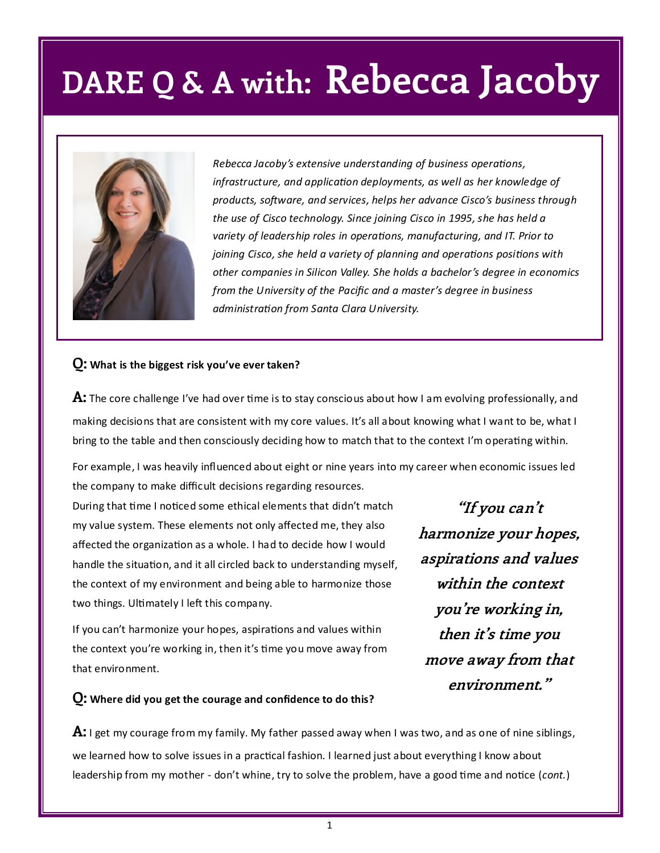

*Rebecca Jacoby's extensive understanding of business operations, infrastructure, and application deployments, as well as her knowledge of products, software, and services, helps her advance Cisco's business through the use of Cisco technology. Since joining Cisco in 1995, she has held a variety of leadership roles in operations, manufacturing, and IT. Prior to joining Cisco, she held a variety of planning and operations positions with other companies in Silicon Valley. She holds a bachelor's degree in economics from the University of the Pacific and a master's degree in business administration from Santa Clara University.* 

#### **Q: What is the biggest risk you've ever taken?**

**A:** The core challenge I've had over time is to stay conscious about how I am evolving professionally, and making decisions that are consistent with my core values. It's all about knowing what I want to be, what I bring to the table and then consciously deciding how to match that to the context I'm operating within.

For example, I was heavily influenced about eight or nine years into my career when economic issues led the company to make difficult decisions regarding resources.

During that time I noticed some ethical elements that didn't match my value system. These elements not only affected me, they also affected the organization as a whole. I had to decide how I would handle the situation, and it all circled back to understanding myself, the context of my environment and being able to harmonize those two things. Ultimately I left this company.

If you can't harmonize your hopes, aspirations and values within the context you're working in, then it's time you move away from that environment.

**"If you can't harmonize your hopes, aspirations and values within the context you're working in, then it's time you move away from that environment."**

#### **Q: Where did you get the courage and confidence to do this?**

**A:** I get my courage from my family. My father passed away when I was two, and as one of nine siblings, we learned how to solve issues in a practical fashion. I learned just about everything I know about leadership from my mother - don't whine, try to solve the problem, have a good time and notice (*cont.*)

1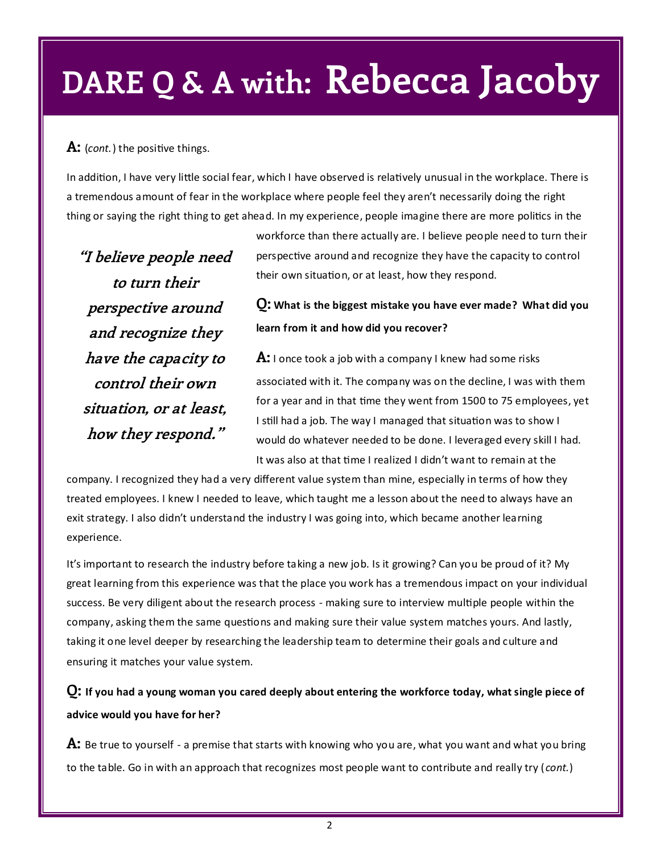### **A:** (*cont.*) the positive things.

In addition, I have very little social fear, which I have observed is relatively unusual in the workplace. There is a tremendous amount of fear in the workplace where people feel they aren't necessarily doing the right thing or saying the right thing to get ahead. In my experience, people imagine there are more politics in the

**"I believe people need to turn their perspective around and recognize they have the capacity to control their own situation, or at least, how they respond."**

workforce than there actually are. I believe people need to turn their perspective around and recognize they have the capacity to control their own situation, or at least, how they respond.

### **Q: What is the biggest mistake you have ever made? What did you learn from it and how did you recover?**

**A:** I once took a job with a company I knew had some risks associated with it. The company was on the decline, I was with them for a year and in that time they went from 1500 to 75 employees, yet I still had a job. The way I managed that situation was to show I would do whatever needed to be done. I leveraged every skill I had. It was also at that time I realized I didn't want to remain at the

company. I recognized they had a very different value system than mine, especially in terms of how they treated employees. I knew I needed to leave, which taught me a lesson about the need to always have an exit strategy. I also didn't understand the industry I was going into, which became another learning experience.

It's important to research the industry before taking a new job. Is it growing? Can you be proud of it? My great learning from this experience was that the place you work has a tremendous impact on your individual success. Be very diligent about the research process - making sure to interview multiple people within the company, asking them the same questions and making sure their value system matches yours. And lastly, taking it one level deeper by researching the leadership team to determine their goals and culture and ensuring it matches your value system.

**Q: If you had a young woman you cared deeply about entering the workforce today, what single piece of advice would you have for her?**

**A:** Be true to yourself - a premise that starts with knowing who you are, what you want and what you bring to the table. Go in with an approach that recognizes most people want to contribute and really try (*cont.*)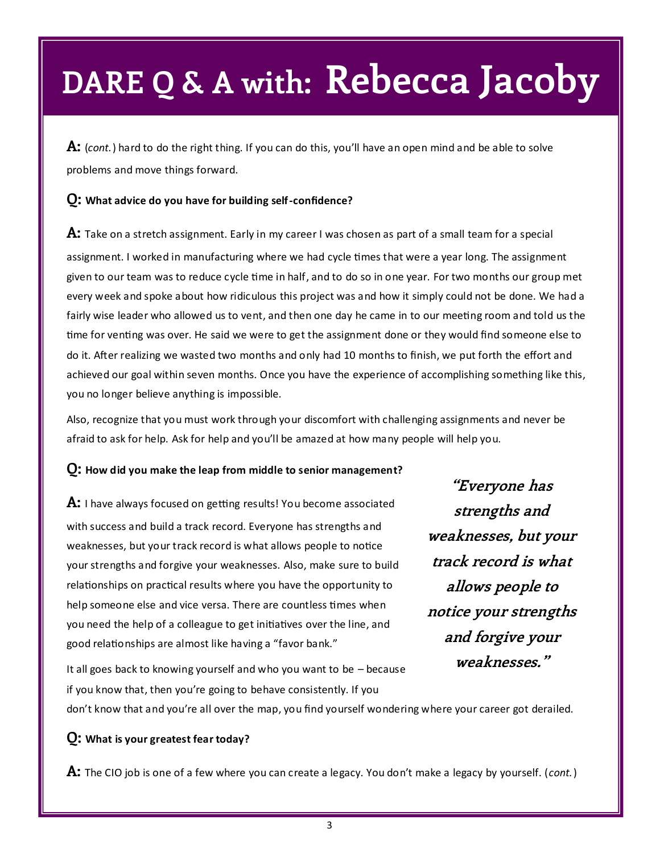**A:** (*cont.*) hard to do the right thing. If you can do this, you'll have an open mind and be able to solve problems and move things forward.

#### **Q: What advice do you have for building self-confidence?**

**A:** Take on a stretch assignment. Early in my career I was chosen as part of a small team for a special assignment. I worked in manufacturing where we had cycle times that were a year long. The assignment given to our team was to reduce cycle time in half, and to do so in one year. For two months our group met every week and spoke about how ridiculous this project was and how it simply could not be done. We had a fairly wise leader who allowed us to vent, and then one day he came in to our meeting room and told us the time for venting was over. He said we were to get the assignment done or they would find someone else to do it. After realizing we wasted two months and only had 10 months to finish, we put forth the effort and achieved our goal within seven months. Once you have the experience of accomplishing something like this, you no longer believe anything is impossible.

Also, recognize that you must work through your discomfort with challenging assignments and never be afraid to ask for help. Ask for help and you'll be amazed at how many people will help you.

#### **Q: How did you make the leap from middle to senior management?**

**A:** I have always focused on getting results! You become associated with success and build a track record. Everyone has strengths and weaknesses, but your track record is what allows people to notice your strengths and forgive your weaknesses. Also, make sure to build relationships on practical results where you have the opportunity to help someone else and vice versa. There are countless times when you need the help of a colleague to get initiatives over the line, and good relationships are almost like having a "favor bank."

**"Everyone has strengths and weaknesses, but your track record is what allows people to notice your strengths and forgive your weaknesses."**

It all goes back to knowing yourself and who you want to be – because if you know that, then you're going to behave consistently. If you don't know that and you're all over the map, you find yourself wondering where your career got derailed.

### **Q: What is your greatest fear today?**

**A:** The CIO job is one of a few where you can create a legacy. You don't make a legacy by yourself. (*cont.*)